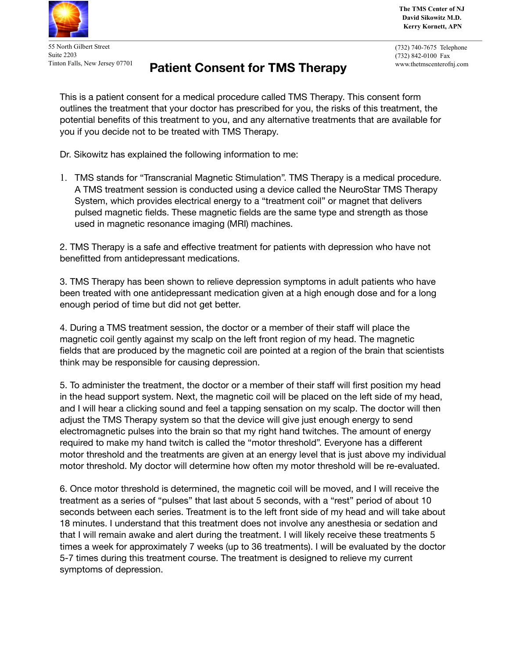

55 North Gilbert Street Suite 2203 Tinton Falls, New Jersey 07701

## **Patient Consent for TMS Therapy**

**The TMS Center of NJ David Sikowitz M.D. Kerry Kornett, APN**

(732) 740-7675 Telephone (732) 842-0100 Fax www.thetmscenterofnj.com

This is a patient consent for a medical procedure called TMS Therapy. This consent form outlines the treatment that your doctor has prescribed for you, the risks of this treatment, the potential benefits of this treatment to you, and any alternative treatments that are available for you if you decide not to be treated with TMS Therapy.

Dr. Sikowitz has explained the following information to me:

1. TMS stands for "Transcranial Magnetic Stimulation". TMS Therapy is a medical procedure. A TMS treatment session is conducted using a device called the NeuroStar TMS Therapy System, which provides electrical energy to a "treatment coil" or magnet that delivers pulsed magnetic fields. These magnetic fields are the same type and strength as those used in magnetic resonance imaging (MRI) machines.

2. TMS Therapy is a safe and effective treatment for patients with depression who have not benefitted from antidepressant medications.

3. TMS Therapy has been shown to relieve depression symptoms in adult patients who have been treated with one antidepressant medication given at a high enough dose and for a long enough period of time but did not get better.

4. During a TMS treatment session, the doctor or a member of their staff will place the magnetic coil gently against my scalp on the left front region of my head. The magnetic fields that are produced by the magnetic coil are pointed at a region of the brain that scientists think may be responsible for causing depression.

5. To administer the treatment, the doctor or a member of their staff will first position my head in the head support system. Next, the magnetic coil will be placed on the left side of my head, and I will hear a clicking sound and feel a tapping sensation on my scalp. The doctor will then adjust the TMS Therapy system so that the device will give just enough energy to send electromagnetic pulses into the brain so that my right hand twitches. The amount of energy required to make my hand twitch is called the "motor threshold". Everyone has a different motor threshold and the treatments are given at an energy level that is just above my individual motor threshold. My doctor will determine how often my motor threshold will be re-evaluated.

6. Once motor threshold is determined, the magnetic coil will be moved, and I will receive the treatment as a series of "pulses" that last about 5 seconds, with a "rest" period of about 10 seconds between each series. Treatment is to the left front side of my head and will take about 18 minutes. I understand that this treatment does not involve any anesthesia or sedation and that I will remain awake and alert during the treatment. I will likely receive these treatments 5 times a week for approximately 7 weeks (up to 36 treatments). I will be evaluated by the doctor 5-7 times during this treatment course. The treatment is designed to relieve my current symptoms of depression.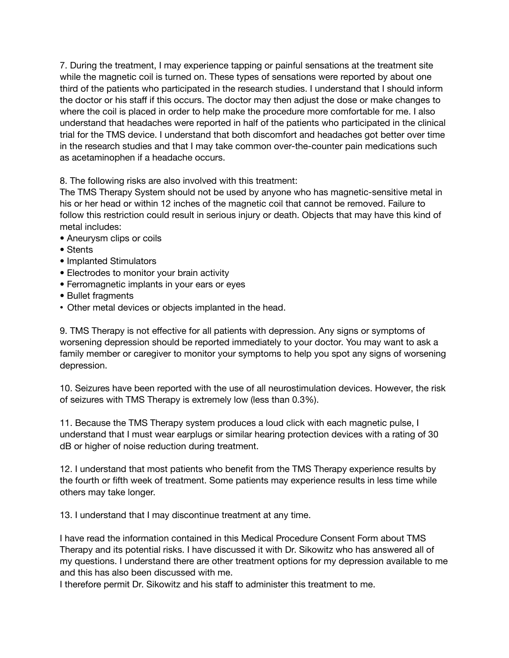7. During the treatment, I may experience tapping or painful sensations at the treatment site while the magnetic coil is turned on. These types of sensations were reported by about one third of the patients who participated in the research studies. I understand that I should inform the doctor or his staff if this occurs. The doctor may then adjust the dose or make changes to where the coil is placed in order to help make the procedure more comfortable for me. I also understand that headaches were reported in half of the patients who participated in the clinical trial for the TMS device. I understand that both discomfort and headaches got better over time in the research studies and that I may take common over-the-counter pain medications such as acetaminophen if a headache occurs.

8. The following risks are also involved with this treatment:

The TMS Therapy System should not be used by anyone who has magnetic-sensitive metal in his or her head or within 12 inches of the magnetic coil that cannot be removed. Failure to follow this restriction could result in serious injury or death. Objects that may have this kind of metal includes:

- Aneurysm clips or coils
- Stents
- Implanted Stimulators
- Electrodes to monitor your brain activity
- Ferromagnetic implants in your ears or eyes
- Bullet fragments
- Other metal devices or objects implanted in the head.

9. TMS Therapy is not effective for all patients with depression. Any signs or symptoms of worsening depression should be reported immediately to your doctor. You may want to ask a family member or caregiver to monitor your symptoms to help you spot any signs of worsening depression.

10. Seizures have been reported with the use of all neurostimulation devices. However, the risk of seizures with TMS Therapy is extremely low (less than 0.3%).

11. Because the TMS Therapy system produces a loud click with each magnetic pulse, I understand that I must wear earplugs or similar hearing protection devices with a rating of 30 dB or higher of noise reduction during treatment.

12. I understand that most patients who benefit from the TMS Therapy experience results by the fourth or fifth week of treatment. Some patients may experience results in less time while others may take longer.

13. I understand that I may discontinue treatment at any time.

I have read the information contained in this Medical Procedure Consent Form about TMS Therapy and its potential risks. I have discussed it with Dr. Sikowitz who has answered all of my questions. I understand there are other treatment options for my depression available to me and this has also been discussed with me.

I therefore permit Dr. Sikowitz and his staff to administer this treatment to me.